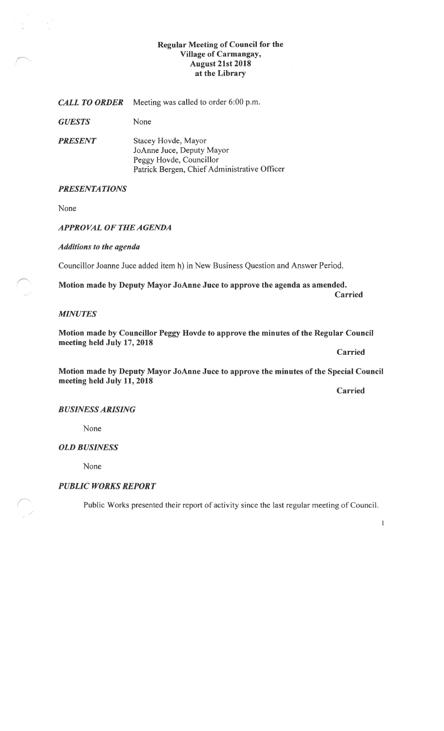# Regular Meeting of Council for the Village of Carmangay, August 21st 2018 at the Library

| <b>CALL TO ORDER</b> | Meeting was called to order 6:00 p.m.                                                                                       |
|----------------------|-----------------------------------------------------------------------------------------------------------------------------|
| <b>GUESTS</b>        | None                                                                                                                        |
| <b>PRESENT</b>       | Stacey Hovde, Mayor<br>JoAnne Juce, Deputy Mayor<br>Peggy Hovde, Councillor<br>Patrick Bergen, Chief Administrative Officer |

# **PRESENTATIONS**

None

# APPROVAL OF THE AGENDA

Additions to the agenda

Councillor Joanne Juce added item h) in New Business Question and Answer Period.

Motion made by Deputy Mayor JoAnne Juce to approve the agenda as amended. Carried

### MINUTES

Motion made by Councillor Peggy Hovde to approve the minutes of the Regular Council meeting held July 17, 2018

Carried

Motion made by Deputy Mayor JoAnne Juce to approve the minutes of the Special Council meeting held July 11, 2018

Carried

# BUSINESSARISING

None

# OLD BUSINESS

None

# PUBLIC WORKS REPORT

Public Works presented their report of activity since the last regular meeting of Council.

 $\mathbf 1$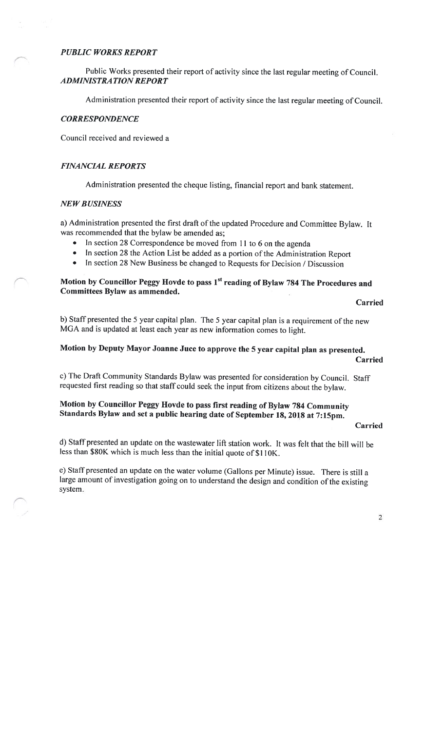## PUBLIC WORKS REPORT

Public Works presented their report of activity since the last regular meeting of Council. ADMINISTRATION REPORT

Administration presented their report of activity since the last regular meeting of Council.

### **CORRESPONDENCE**

Council received and reviewed <sup>a</sup>

## FINANCIAL REPORTS

Administration presented the cheque listing, financial report and bank statement.

# NEW BUSINESS

a) Administration presented the first draft of the updated Procedure and Committee Bylaw. It was recommended that the bylaw be amended as;

- •In section <sup>28</sup> Correspondence be moved from <sup>11</sup> to <sup>6</sup> on the agenda
- In section 28 the Action List be added as a portion of the Administration Report
- •In section 28 New Business be changed to Requests for Decision / Discussion

## Motion by Councillor Peggy Hovde to pass 1<sup>st</sup> reading of Bylaw 784 The Procedures and Committees Bylaw as ammended.

**Carried** 

b) Staff presented the 5 year capital plan. The 5 year capital plan is a requirement of the new MGA and is updated at least each year as new information comes to light.

# Motion by Deputy Mayor Joanne Juce to approve the <sup>5</sup> year capital <sup>p</sup>lan as presented. Carried

c) The Draft Community Standards Bylaw was presented for consideration by Council. Staff requested first reading so that staff could seek the input from citizens about the bylaw.

# Motion by Councillor Peggy Hovde to pass first reading of Bylaw <sup>784</sup> Community Standards Bylaw and set a public hearing date of September 18, 2018 at 7:15pm.

### Carried

d) Staff presented an update on the wastewater lift station work. It was felt that the bill will be less than \$80K which is much less than the initial quote of S1IOK,

e) Staff presented an update on the water volume (Gallons per Minute) issue. There is still <sup>a</sup> large amount of investigation going on to understand the design and condition of the existing system.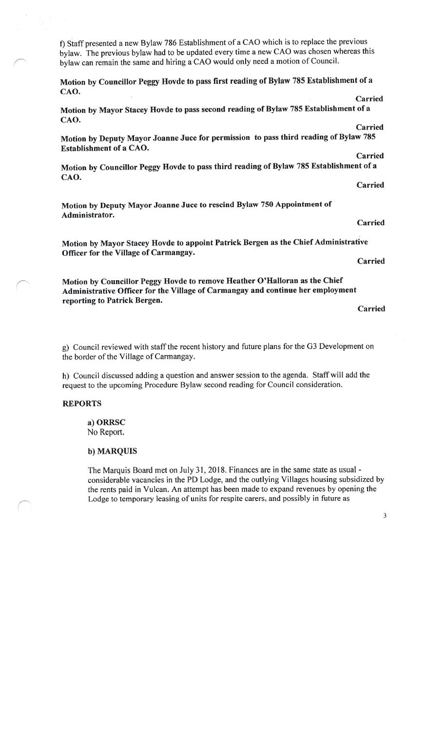f) Staff presented <sup>a</sup> new Bylaw <sup>786</sup> Establishment of <sup>a</sup> CAO which is to replace the previous bylaw. The previous bylaw had to be updated every time <sup>a</sup> new CAO was chosen whereas this bylaw can remain the same and hiring <sup>a</sup> CAO would only need <sup>a</sup> motion of Council.

Motion by Councillor Peggy Hovde to pass first reading of Bylaw <sup>785</sup> Establishment of <sup>a</sup> CAO. Carried

Motion by Mayor Stacey Hovde to pass second reading of Bylaw <sup>785</sup> Establishment of <sup>a</sup> CAO. Carried

Motion by Deputy Mayor Joanne Juce for permission to pass third reading of Bylaw <sup>785</sup> Establishment of <sup>a</sup> CAO.

Motion by Councillor Peggy Hovde to pass third reading of Bylaw <sup>785</sup> Establishment of <sup>a</sup> CAO.

Motion by Deputy Mayor Joanne Juce to rescind Bylaw <sup>750</sup> Appointment of Administrator.

Motion by Mayor Stacey Hovde to appoint Patrick Bergen as the Chief Administrative Officer for the Village of Carmangay.

Motion by Councillor Peggy Hovde to remove Heather O'Halloran as the Chief Administrative Officer for the Village of Carmangay and continue her employment reporting to Patrick Bergen.

Carried

g) Council reviewed with staffthe recent history and future <sup>p</sup>lans for the G3 Development on the border of the Village of Carmangay.

h) Council discussed adding <sup>a</sup> question and answer session to the agenda. Staff will add the reques<sup>t</sup> to the upcoming Procedure Bylaw second reading for Council consideration.

### REPORTS

a) ORRSC No Report.

### b) MARQUIS

The Marquis Board met on July 31, 2018. finances are in the same state as usual considerable vacancies in the PD Lodge, and the outlying Villages housing subsidized by the rents paid in Vulcan. An attempt has been made to expand revenues by opening the Lodge to temporary leasing of units for respite carers, and possibly in future as

Carried

Carried

Carried

Carried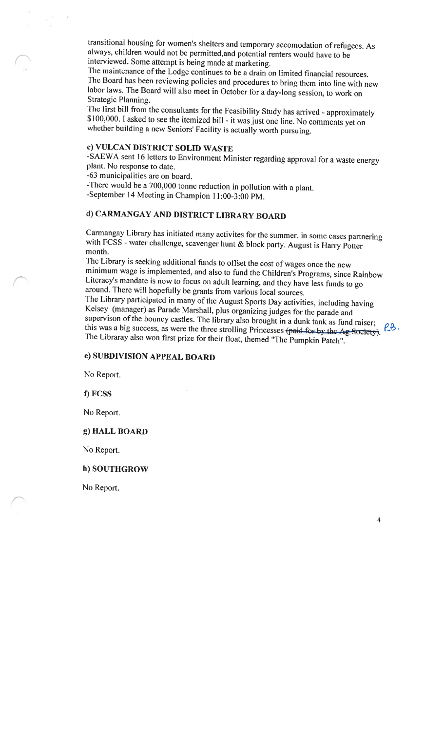transitional housing for women's shelters and temporary accomodation of refugees. As always, children would not be permitted,and potential renters would have to be interviewed. Some attempt is being made at marketing.

The maintenance of the Lodge continues to be a drain on limited financial resources. The Board has been reviewing policies and procedures to bring them into line with new labor laws. The Board will also meet in October for <sup>a</sup> day-long session, to work on Strategic Planning.

The first bill from the consultants for the feasibility Study has atrived - approximately \$100,000. <sup>I</sup> asked to see the itemized bill - it was just one line. No comments yet on whether building <sup>a</sup> new Seniors' facility is actually worth pursuing.

# c) VULCAN DISTRICT SOLID WASTE

-SAEWA sent <sup>16</sup> letters to Environment Minister regarding approval for <sup>a</sup> waste energy <sup>p</sup>lant. No response to date.

-63 municipalities are on board.

-There would be <sup>a</sup> 700,000 tonne reduction in pollution with <sup>a</sup> <sup>p</sup>lant.

-September14 Meeting in Champion 11:00-3:00 PM.

# d) CARMANGAY AND DISTRICT LIBRARY BOARD

Carmangay Library has initiated many activites for the summer. in some cases partnering with FCSS - water challenge, scavenger hunt & block party. August is Harry Potter month.

The Library is seeking additional funds to offset the cost of wages once the new minimum wage is implemented, and also to fund the Children's Programs, since Rainbow Literacy's mandate is now to focus on adult learning, and they have less funds to go around. There will hopefully be grants from various local sources.

The Library participated in many of the August Sports Day activities, including having<br>Kelsey (manager) as Parade Marshall, plus organizing judges for the parade and supervison of the bouncy castles. The library also brought in a dunk tank as fund raiser;<br>this was a big success, as were the three strolling Princesses (paid for by the Ag Society). The Libraray also won first prize for their float, themed "The Pumpkin Patch".

### e) SUBDIVISION APPEAL BOARD

No Report.

f) FCSS

No Report.

## g) HALL BOARD

No Report.

### h) SOUTHGROW

No Report.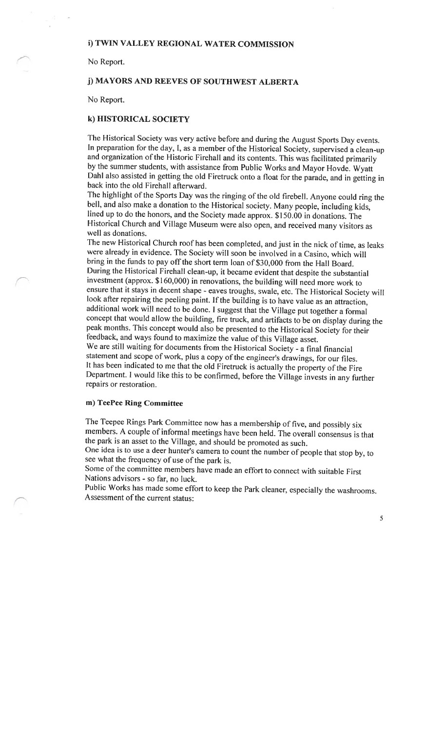# i) TWIN VALLEY REGIONAL WATER COMMISSION

No Report.

# j) MAYORS AND REEVES OF SOUTHWEST ALBERTA

No Report.

## k) HISTORICAL SOCIETY

The Historical Society was very active before and during the August Sports Day events. In preparation for the day, I, as a member of the Historical Society, supervised a clean-up and organization of the Historic Firehall and its contents. This was facilitated primarily by the summer students, with assistance from Public Works and Mayor Hovde. Wyatt DahI also assisted in getting the old Firetruck onto <sup>a</sup> float for the parade, and in getting in back into the old firehall afterward.

The highlight of the Sports Day was the ringing of the old firebell. Anyone could ring the bell, and also make <sup>a</sup> donation to the Historical society. Many people, including kids, lined up to do the honors, and the Society made approx. \$150.00 in donations. The Historical Church and Village Museum were also open, and received many visitors as well as donations.

The new Historical Church roof has been completed, and just in the nick of time, as leaks were already in evidence. The Society will soon be involved in <sup>a</sup> Casino, which will bring in the funds to pay off the short term loan of \$30,000 from the Hall Board. During the Historical fireball clean-up, it became evident that despite the substantial investment (approx. \$160,000) in renovations, the building will need more work to ensure that it stays in decent shape - eaves troughs, swale, etc. The Historical Society will look after repairing the peeling paint. If the building is to have value as an attraction, additional work will need to be done. <sup>I</sup> suggest that the Village put together <sup>a</sup> formal concept that would allow the building, fire truck, and artifacts to be on display during the peak months. This concept would also be presented to the Historical Society for their feedback, and ways found to maximize the value of this Village asset.

We are still waiting for documents from the Historical Society - <sup>a</sup> final financial statement and scope of work, plus a copy of the engineer's drawings, for our files. It has been indicated to me that the old Firetruck is actually the property of the Fire Department. <sup>I</sup> would like this to be confirmed, before the Village invests in any further repairs or restoration.

## m) TeePee Ring Committee

The Teepee Rings Park Committee now has <sup>a</sup> membership of five, and possibly six members. <sup>A</sup> couple of informal meetings have been held. The overall consensus is that the par<sup>k</sup> is an asset to the Village, and should be promoted as such.

One idea is to use <sup>a</sup> deer hunter's camera to count the number of people that stop by, to see what the frequency of use of the par<sup>k</sup> is.

Some of the committee members have made an effort to connect with suitable First Nations advisors - so far, no luck.

Public Works has made some effort to keep the Park cleaner, especially the washrooms. Assessment of the current status: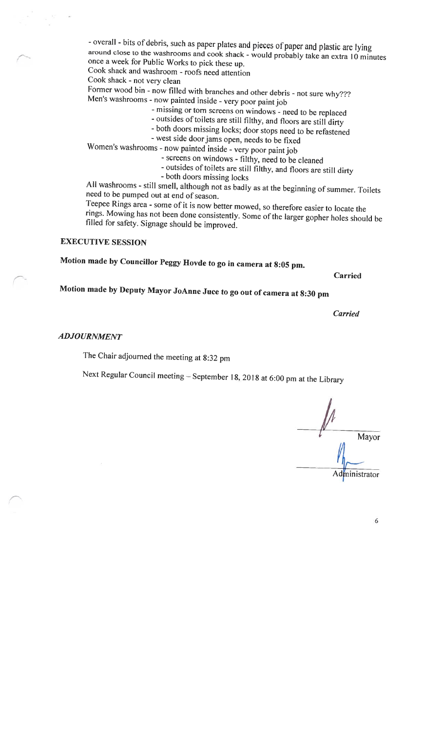- overall - bits of debris, such as paper <sup>p</sup>lates and <sup>p</sup>ieces of paper and <sup>p</sup>lastic are lying around close to the washrooms and cook shack - would probably take an extra  $10$  minutes once <sup>a</sup> week for Public Works to <sup>p</sup>ick these up.

Cook shack and washroom - roofs need attention

Cook shack - not very clean

former wood bin - now filled with branches and other debris -not sure why??? Men's washrooms - now painted inside - very poor paint job

- -missing or torn screens on windows need to be replaced
- outsides of toilets are still filthy, and floors are still dirty
- both doors missing locks; door stops need to be refastened
- west side door jams open, needs to be fixed

Women's washrooms - now painted inside - very poor paint job

-screens on windows - filthy, need to be cleaned

- outsides of toilets are still filthy, and floors are still dirty

- both doors missing locks

All washrooms - still smell, although not as badly as at the beginning of summer. Toilets need to be pumped out at end of season.

Teepee Rings area - some of it is now better mowed, so therefore easier to locate the rings. Mowing has not been done consistently. Some of the larger gopher holes should be filled for safety. Signage should be improved.

# EXECUTIVE SESSION

Motion made by Councillor Peggy Hovde to go in camera at 8:05 pm.

Carried

Motion made by Deputy Mayor JoAnne Juce to go out of camera at 8:30 pm

Carried

### ADJOURNMENT

The Chair adjourned the meeting at 8:32 pm

Next Regular Council meeting — September 18, <sup>2018</sup> at 6:00 pm at the Library

Mayor Administrator

6